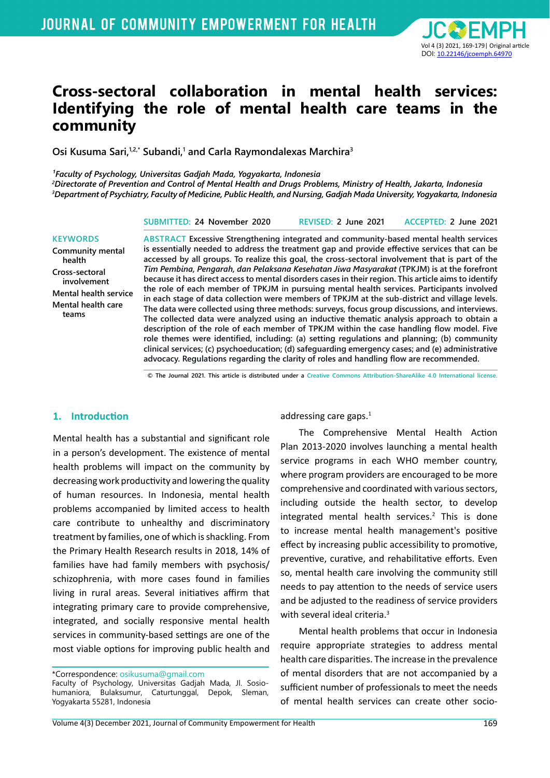

# **Cross-sectoral collaboration in mental health services: Identifying the role of mental health care teams in the community**

Osi Kusuma Sari,<sup>1,2,\*</sup> Subandi,<sup>1</sup> and Carla Raymondalexas Marchira<sup>3</sup>

*¹Faculty of Psychology, Universitas Gadjah Mada, Yogyakarta, Indonesia*

*2 Directorate of Prevention and Control of Mental Health and Drugs Problems, Ministry of Health, Jakarta, Indonesia 3 Department of Psychiatry, Faculty of Medicine, Public Health, and Nursing, Gadjah Mada University, Yogyakarta, Indonesia*

#### **KEYWORDS**

**Community mental health Cross-sectoral involvement Mental health service Mental health care teams**

**ABSTRACT Excessive Strengthening integrated and community-based mental health services is essentially needed to address the treatment gap and provide effective services that can be accessed by all groups. To realize this goal, the cross-sectoral involvement that is part of the**  *Tim Pembina, Pengarah, dan Pelaksana Kesehatan Jiwa Masyarakat* **(TPKJM) is at the forefront because it has direct access to mental disorders cases in their region. This article aims to identify the role of each member of TPKJM in pursuing mental health services. Participants involved in each stage of data collection were members of TPKJM at the sub-district and village levels. The data were collected using three methods: surveys, focus group discussions, and interviews. The collected data were analyzed using an inductive thematic analysis approach to obtain a description of the role of each member of TPKJM within the case handling flow model. Five role themes were identified, including: (a) setting regulations and planning; (b) community clinical services; (c) psychoeducation; (d) safeguarding emergency cases; and (e) administrative advocacy. Regulations regarding the clarity of roles and handling flow are recommended.**

**SUBMITTED: 24 November 2020 REVISED: 2 June 2021 ACCEPTED: 2 June 2021**

**© The Journal 2021. This article is distributed under a Creative Commons Attribution-ShareAlike 4.0 International license.**

#### **1. Introduction**

Mental health has a substantial and significant role in a person's development. The existence of mental health problems will impact on the community by decreasing work productivity and lowering the quality of human resources. In Indonesia, mental health problems accompanied by limited access to health care contribute to unhealthy and discriminatory treatment by families, one of which is shackling. From the Primary Health Research results in 2018, 14% of families have had family members with psychosis/ schizophrenia, with more cases found in families living in rural areas. Several initiatives affirm that integrating primary care to provide comprehensive, integrated, and socially responsive mental health services in community-based settings are one of the most viable options for improving public health and

addressing care gaps. $<sup>1</sup>$ </sup>

The Comprehensive Mental Health Action Plan 2013-2020 involves launching a mental health service programs in each WHO member country, where program providers are encouraged to be more comprehensive and coordinated with various sectors, including outside the health sector, to develop integrated mental health services.<sup>2</sup> This is done to increase mental health management's positive effect by increasing public accessibility to promotive, preventive, curative, and rehabilitative efforts. Even so, mental health care involving the community still needs to pay attention to the needs of service users and be adjusted to the readiness of service providers with several ideal criteria.<sup>3</sup>

Mental health problems that occur in Indonesia require appropriate strategies to address mental health care disparities. The increase in the prevalence of mental disorders that are not accompanied by a sufficient number of professionals to meet the needs of mental health services can create other socio-

<sup>\*</sup>Correspondence: osikusuma@gmail.com Faculty of Psychology, Universitas Gadjah Mada, Jl. Sosiohumaniora, Bulaksumur, Caturtunggal, Depok, Sleman, Yogyakarta 55281, Indonesia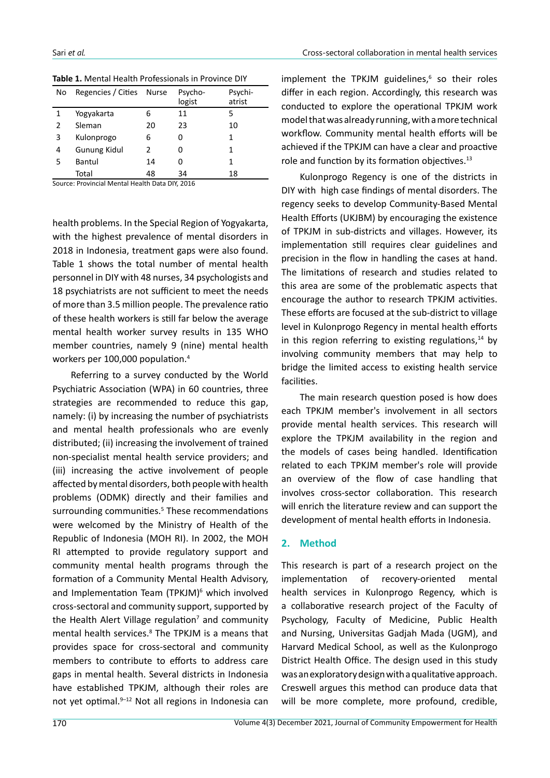| No | Regencies / Cities Nurse |               | Psycho-<br>logist | Psychi-<br>atrist |
|----|--------------------------|---------------|-------------------|-------------------|
| 1  | Yogyakarta               | 6             | 11                | 5                 |
| 2  | Sleman                   | 20            | 23                | 10                |
| 3  | Kulonprogo               | 6             | 0                 | 1                 |
| 4  | <b>Gunung Kidul</b>      | $\mathcal{P}$ | 0                 | 1                 |
| 5  | Bantul                   | 14            | ი                 | 1                 |
|    | Total                    | 48            | 34                | 18                |

**Table 1.** Mental Health Professionals in Province DIY

Source: Provincial Mental Health Data DIY, 2016

health problems. In the Special Region of Yogyakarta, with the highest prevalence of mental disorders in 2018 in Indonesia, treatment gaps were also found. Table 1 shows the total number of mental health personnel in DIY with 48 nurses, 34 psychologists and 18 psychiatrists are not sufficient to meet the needs of more than 3.5 million people. The prevalence ratio of these health workers is still far below the average mental health worker survey results in 135 WHO member countries, namely 9 (nine) mental health workers per 100,000 population.<sup>4</sup>

Referring to a survey conducted by the World Psychiatric Association (WPA) in 60 countries, three strategies are recommended to reduce this gap, namely: (i) by increasing the number of psychiatrists and mental health professionals who are evenly distributed; (ii) increasing the involvement of trained non-specialist mental health service providers; and (iii) increasing the active involvement of people affected by mental disorders, both people with health problems (ODMK) directly and their families and surrounding communities.<sup>5</sup> These recommendations were welcomed by the Ministry of Health of the Republic of Indonesia (MOH RI). In 2002, the MOH RI attempted to provide regulatory support and community mental health programs through the formation of a Community Mental Health Advisory, and Implementation Team (TPKJM)<sup>6</sup> which involved cross-sectoral and community support, supported by the Health Alert Village regulation<sup>7</sup> and community mental health services.<sup>8</sup> The TPKJM is a means that provides space for cross-sectoral and community members to contribute to efforts to address care gaps in mental health. Several districts in Indonesia have established TPKJM, although their roles are not yet optimal.<sup>9-12</sup> Not all regions in Indonesia can

implement the TPKJM guidelines,<sup>6</sup> so their roles differ in each region. Accordingly, this research was conducted to explore the operational TPKJM work model that was already running, with a more technical workflow. Community mental health efforts will be achieved if the TPKJM can have a clear and proactive role and function by its formation objectives.<sup>13</sup>

Kulonprogo Regency is one of the districts in DIY with high case findings of mental disorders. The regency seeks to develop Community-Based Mental Health Efforts (UKJBM) by encouraging the existence of TPKJM in sub-districts and villages. However, its implementation still requires clear guidelines and precision in the flow in handling the cases at hand. The limitations of research and studies related to this area are some of the problematic aspects that encourage the author to research TPKJM activities. These efforts are focused at the sub-district to village level in Kulonprogo Regency in mental health efforts in this region referring to existing regulations, $14$  by involving community members that may help to bridge the limited access to existing health service facilities.

The main research question posed is how does each TPKJM member's involvement in all sectors provide mental health services. This research will explore the TPKJM availability in the region and the models of cases being handled. Identification related to each TPKJM member's role will provide an overview of the flow of case handling that involves cross-sector collaboration. This research will enrich the literature review and can support the development of mental health efforts in Indonesia.

#### **2. Method**

This research is part of a research project on the implementation of recovery-oriented mental health services in Kulonprogo Regency, which is a collaborative research project of the Faculty of Psychology, Faculty of Medicine, Public Health and Nursing, Universitas Gadjah Mada (UGM), and Harvard Medical School, as well as the Kulonprogo District Health Office. The design used in this study was an exploratory design with a qualitative approach. Creswell argues this method can produce data that will be more complete, more profound, credible,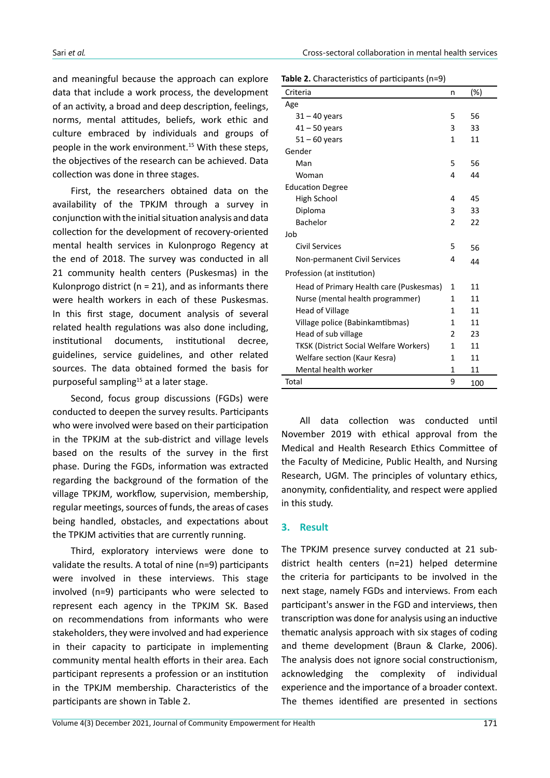and meaningful because the approach can explore data that include a work process, the development of an activity, a broad and deep description, feelings, norms, mental attitudes, beliefs, work ethic and culture embraced by individuals and groups of people in the work environment.15 With these steps, the objectives of the research can be achieved. Data collection was done in three stages.

First, the researchers obtained data on the availability of the TPKJM through a survey in conjunction with the initial situation analysis and data collection for the development of recovery-oriented mental health services in Kulonprogo Regency at the end of 2018. The survey was conducted in all 21 community health centers (Puskesmas) in the Kulonprogo district ( $n = 21$ ), and as informants there were health workers in each of these Puskesmas. In this first stage, document analysis of several related health regulations was also done including, institutional documents, institutional decree, guidelines, service guidelines, and other related sources. The data obtained formed the basis for purposeful sampling<sup>15</sup> at a later stage.

Second, focus group discussions (FGDs) were conducted to deepen the survey results. Participants who were involved were based on their participation in the TPKJM at the sub-district and village levels based on the results of the survey in the first phase. During the FGDs, information was extracted regarding the background of the formation of the village TPKJM, workflow, supervision, membership, regular meetings, sources of funds, the areas of cases being handled, obstacles, and expectations about the TPKJM activities that are currently running.

Third, exploratory interviews were done to validate the results. A total of nine (n=9) participants were involved in these interviews. This stage involved (n=9) participants who were selected to represent each agency in the TPKJM SK. Based on recommendations from informants who were stakeholders, they were involved and had experience in their capacity to participate in implementing community mental health efforts in their area. Each participant represents a profession or an institution in the TPKJM membership. Characteristics of the participants are shown in Table 2.

|  |  | Table 2. Characteristics of participants (n=9) |  |
|--|--|------------------------------------------------|--|
|--|--|------------------------------------------------|--|

| Criteria                                      |   | (%) |
|-----------------------------------------------|---|-----|
| Age                                           |   |     |
| $31 - 40$ years                               | 5 | 56  |
| $41 - 50$ years                               | 3 | 33  |
| $51 - 60$ years                               | 1 | 11  |
| Gender                                        |   |     |
| Man                                           | 5 | 56  |
| Woman                                         | 4 | 44  |
| <b>Education Degree</b>                       |   |     |
| High School                                   | 4 | 45  |
| Diploma                                       | 3 | 33  |
| <b>Bachelor</b>                               | 2 | 22  |
| Job                                           |   |     |
| Civil Services                                | 5 | 56  |
| Non-permanent Civil Services                  | 4 | 44  |
| Profession (at institution)                   |   |     |
| Head of Primary Health care (Puskesmas)       | 1 | 11  |
| Nurse (mental health programmer)              | 1 | 11  |
| <b>Head of Village</b>                        | 1 | 11  |
| Village police (Babinkamtibmas)               | 1 | 11  |
| Head of sub village                           | 2 | 23  |
| <b>TKSK (District Social Welfare Workers)</b> | 1 | 11  |
| Welfare section (Kaur Kesra)                  | 1 | 11  |
| Mental health worker                          | 1 | 11  |
| Total                                         | 9 | 100 |

All data collection was conducted until November 2019 with ethical approval from the Medical and Health Research Ethics Committee of the Faculty of Medicine, Public Health, and Nursing Research, UGM. The principles of voluntary ethics, anonymity, confidentiality, and respect were applied in this study.

#### **3. Result**

The TPKJM presence survey conducted at 21 subdistrict health centers (n=21) helped determine the criteria for participants to be involved in the next stage, namely FGDs and interviews. From each participant's answer in the FGD and interviews, then transcription was done for analysis using an inductive thematic analysis approach with six stages of coding and theme development (Braun & Clarke, 2006). The analysis does not ignore social constructionism, acknowledging the complexity of individual experience and the importance of a broader context. The themes identified are presented in sections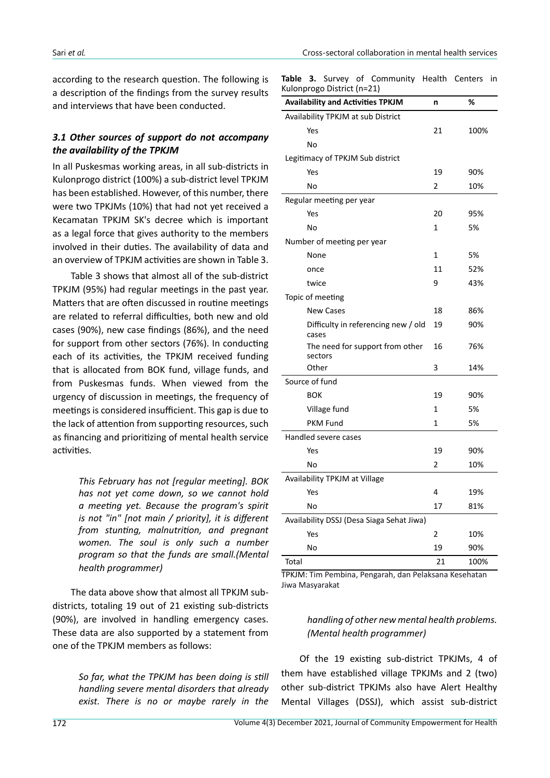according to the research question. The following is a description of the findings from the survey results and interviews that have been conducted.

#### *3.1 Other sources of support do not accompany the availability of the TPKJM*

In all Puskesmas working areas, in all sub-districts in Kulonprogo district (100%) a sub-district level TPKJM has been established. However, of this number, there were two TPKJMs (10%) that had not yet received a Kecamatan TPKJM SK's decree which is important as a legal force that gives authority to the members involved in their duties. The availability of data and an overview of TPKJM activities are shown in Table 3.

Table 3 shows that almost all of the sub-district TPKJM (95%) had regular meetings in the past year. Matters that are often discussed in routine meetings are related to referral difficulties, both new and old cases (90%), new case findings (86%), and the need for support from other sectors (76%). In conducting each of its activities, the TPKJM received funding that is allocated from BOK fund, village funds, and from Puskesmas funds. When viewed from the urgency of discussion in meetings, the frequency of meetings is considered insufficient. This gap is due to the lack of attention from supporting resources, such as financing and prioritizing of mental health service activities.

> *This February has not [regular meeting]. BOK has not yet come down, so we cannot hold a meeting yet. Because the program's spirit is not "in" [not main / priority], it is different from stunting, malnutrition, and pregnant women. The soul is only such a number program so that the funds are small.(Mental health programmer)*

The data above show that almost all TPKJM subdistricts, totaling 19 out of 21 existing sub-districts (90%), are involved in handling emergency cases. These data are also supported by a statement from one of the TPKJM members as follows:

> *So far, what the TPKJM has been doing is still handling severe mental disorders that already exist. There is no or maybe rarely in the*

**Table 3.** Survey of Community Health Centers in Kulonprogo District (n=21)

| -פ-י<br>                                     |              |      |
|----------------------------------------------|--------------|------|
| <b>Availability and Activities TPKJM</b>     | n            | %    |
| Availability TPKJM at sub District           |              |      |
| Yes                                          | 21           | 100% |
| No                                           |              |      |
| Legitimacy of TPKJM Sub district             |              |      |
| Yes                                          | 19           | 90%  |
| No                                           | 2            | 10%  |
| Regular meeting per year                     |              |      |
| Yes                                          | 20           | 95%  |
| No                                           | $\mathbf{1}$ | 5%   |
| Number of meeting per year                   |              |      |
| None                                         | $\mathbf{1}$ | 5%   |
| once                                         | 11           | 52%  |
| twice                                        | 9            | 43%  |
| Topic of meeting                             |              |      |
| <b>New Cases</b>                             | 18           | 86%  |
| Difficulty in referencing new / old<br>cases | 19           | 90%  |
| The need for support from other<br>sectors   | 16           | 76%  |
| Other                                        | 3            | 14%  |
| Source of fund                               |              |      |
| <b>BOK</b>                                   | 19           | 90%  |
| Village fund                                 | $\mathbf{1}$ | 5%   |
| <b>PKM Fund</b>                              | $\mathbf{1}$ | 5%   |
| Handled severe cases                         |              |      |
| Yes                                          | 19           | 90%  |
| No                                           | 2            | 10%  |
| Availability TPKJM at Village                |              |      |
| Yes                                          | 4            | 19%  |
| No                                           | 17           | 81%  |
| Availability DSSJ (Desa Siaga Sehat Jiwa)    |              |      |
| Yes                                          | 2            | 10%  |
| No                                           | 19           | 90%  |
| Total                                        | 21           | 100% |

TPKJM: Tim Pembina, Pengarah, dan Pelaksana Kesehatan Jiwa Masyarakat

#### *handling of other new mental health problems. (Mental health programmer)*

Of the 19 existing sub-district TPKJMs, 4 of them have established village TPKJMs and 2 (two) other sub-district TPKJMs also have Alert Healthy Mental Villages (DSSJ), which assist sub-district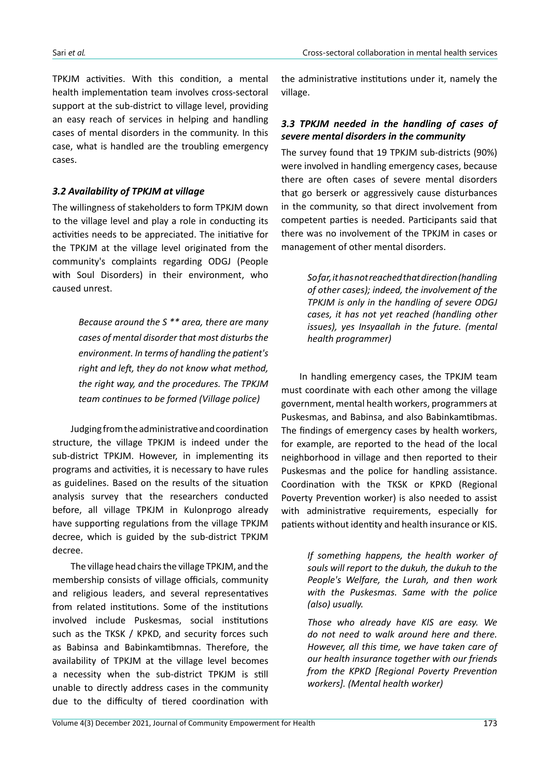TPKJM activities. With this condition, a mental health implementation team involves cross-sectoral support at the sub-district to village level, providing an easy reach of services in helping and handling cases of mental disorders in the community. In this case, what is handled are the troubling emergency cases.

## *3.2 Availability of TPKJM at village*

The willingness of stakeholders to form TPKJM down to the village level and play a role in conducting its activities needs to be appreciated. The initiative for the TPKJM at the village level originated from the community's complaints regarding ODGJ (People with Soul Disorders) in their environment, who caused unrest.

> *Because around the S \*\* area, there are many cases of mental disorder that most disturbs the environment. In terms of handling the patient's right and left, they do not know what method, the right way, and the procedures. The TPKJM team continues to be formed (Village police)*

Judging from the administrative and coordination structure, the village TPKJM is indeed under the sub-district TPKJM. However, in implementing its programs and activities, it is necessary to have rules as guidelines. Based on the results of the situation analysis survey that the researchers conducted before, all village TPKJM in Kulonprogo already have supporting regulations from the village TPKJM decree, which is guided by the sub-district TPKJM decree.

The village head chairs the village TPKJM, and the membership consists of village officials, community and religious leaders, and several representatives from related institutions. Some of the institutions involved include Puskesmas, social institutions such as the TKSK / KPKD, and security forces such as Babinsa and Babinkamtibmnas. Therefore, the availability of TPKJM at the village level becomes a necessity when the sub-district TPKJM is still unable to directly address cases in the community due to the difficulty of tiered coordination with

the administrative institutions under it, namely the village.

#### *3.3 TPKJM needed in the handling of cases of severe mental disorders in the community*

The survey found that 19 TPKJM sub-districts (90%) were involved in handling emergency cases, because there are often cases of severe mental disorders that go berserk or aggressively cause disturbances in the community, so that direct involvement from competent parties is needed. Participants said that there was no involvement of the TPKJM in cases or management of other mental disorders.

> *So far, it has not reached that direction (handling of other cases); indeed, the involvement of the TPKJM is only in the handling of severe ODGJ cases, it has not yet reached (handling other issues), yes Insyaallah in the future. (mental health programmer)*

In handling emergency cases, the TPKJM team must coordinate with each other among the village government, mental health workers, programmers at Puskesmas, and Babinsa, and also Babinkamtibmas. The findings of emergency cases by health workers, for example, are reported to the head of the local neighborhood in village and then reported to their Puskesmas and the police for handling assistance. Coordination with the TKSK or KPKD (Regional Poverty Prevention worker) is also needed to assist with administrative requirements, especially for patients without identity and health insurance or KIS.

> *If something happens, the health worker of souls will report to the dukuh, the dukuh to the People's Welfare, the Lurah, and then work with the Puskesmas. Same with the police (also) usually.*

> *Those who already have KIS are easy. We do not need to walk around here and there. However, all this time, we have taken care of our health insurance together with our friends from the KPKD [Regional Poverty Prevention workers]. (Mental health worker)*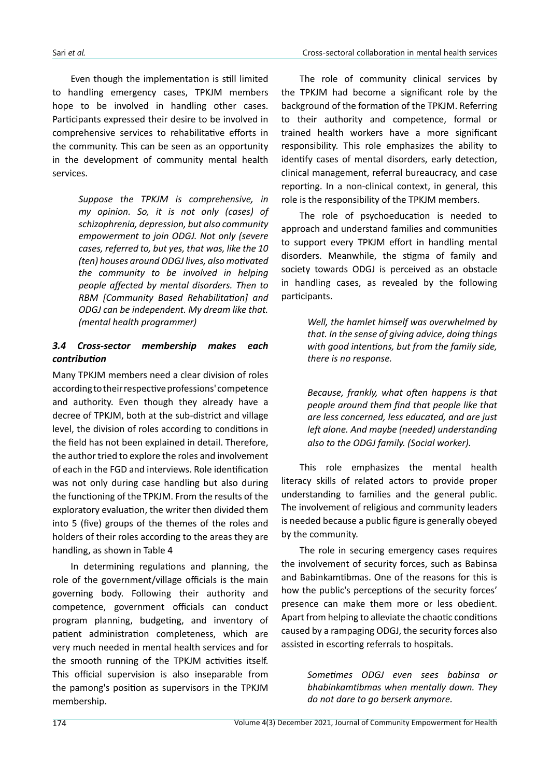Even though the implementation is still limited to handling emergency cases, TPKJM members hope to be involved in handling other cases. Participants expressed their desire to be involved in comprehensive services to rehabilitative efforts in the community. This can be seen as an opportunity in the development of community mental health services.

> *Suppose the TPKJM is comprehensive, in my opinion. So, it is not only (cases) of schizophrenia, depression, but also community empowerment to join ODGJ. Not only (severe cases, referred to, but yes, that was, like the 10 (ten) houses around ODGJ lives, also motivated the community to be involved in helping people affected by mental disorders. Then to RBM [Community Based Rehabilitation] and ODGJ can be independent. My dream like that. (mental health programmer)*

## *3.4 Cross-sector membership makes each contribution*

Many TPKJM members need a clear division of roles according to their respective professions' competence and authority. Even though they already have a decree of TPKJM, both at the sub-district and village level, the division of roles according to conditions in the field has not been explained in detail. Therefore, the author tried to explore the roles and involvement of each in the FGD and interviews. Role identification was not only during case handling but also during the functioning of the TPKJM. From the results of the exploratory evaluation, the writer then divided them into 5 (five) groups of the themes of the roles and holders of their roles according to the areas they are handling, as shown in Table 4

In determining regulations and planning, the role of the government/village officials is the main governing body. Following their authority and competence, government officials can conduct program planning, budgeting, and inventory of patient administration completeness, which are very much needed in mental health services and for the smooth running of the TPKJM activities itself. This official supervision is also inseparable from the pamong's position as supervisors in the TPKJM membership.

The role of community clinical services by the TPKJM had become a significant role by the background of the formation of the TPKJM. Referring to their authority and competence, formal or trained health workers have a more significant responsibility. This role emphasizes the ability to identify cases of mental disorders, early detection, clinical management, referral bureaucracy, and case reporting. In a non-clinical context, in general, this role is the responsibility of the TPKJM members.

The role of psychoeducation is needed to approach and understand families and communities to support every TPKJM effort in handling mental disorders. Meanwhile, the stigma of family and society towards ODGJ is perceived as an obstacle in handling cases, as revealed by the following participants.

> *Well, the hamlet himself was overwhelmed by that. In the sense of giving advice, doing things with good intentions, but from the family side, there is no response.*

> *Because, frankly, what often happens is that people around them find that people like that are less concerned, less educated, and are just left alone. And maybe (needed) understanding also to the ODGJ family. (Social worker).*

This role emphasizes the mental health literacy skills of related actors to provide proper understanding to families and the general public. The involvement of religious and community leaders is needed because a public figure is generally obeyed by the community.

The role in securing emergency cases requires the involvement of security forces, such as Babinsa and Babinkamtibmas. One of the reasons for this is how the public's perceptions of the security forces' presence can make them more or less obedient. Apart from helping to alleviate the chaotic conditions caused by a rampaging ODGJ, the security forces also assisted in escorting referrals to hospitals.

> *Sometimes ODGJ even sees babinsa or bhabinkamtibmas when mentally down. They do not dare to go berserk anymore.*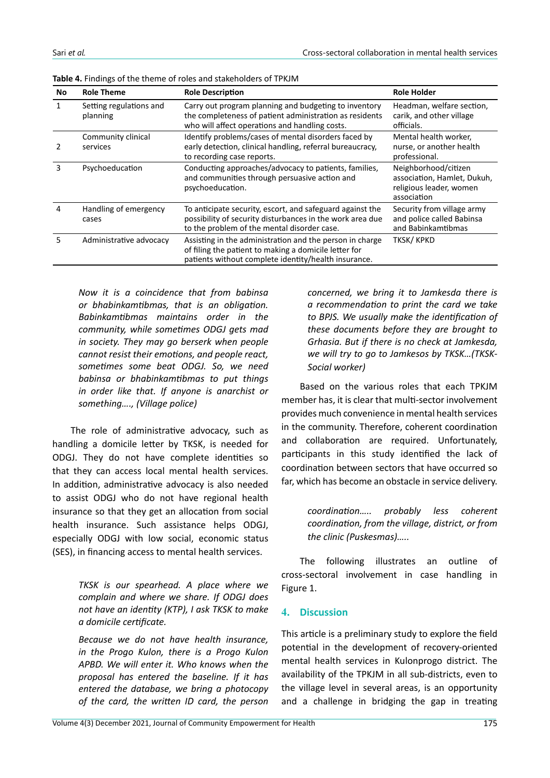| No | <b>Role Theme</b>                   | <b>Role Description</b>                                                                                                                                                   | <b>Role Holder</b>                                                                            |
|----|-------------------------------------|---------------------------------------------------------------------------------------------------------------------------------------------------------------------------|-----------------------------------------------------------------------------------------------|
| 1  | Setting regulations and<br>planning | Carry out program planning and budgeting to inventory<br>the completeness of patient administration as residents<br>who will affect operations and handling costs.        | Headman, welfare section,<br>carik, and other village<br>officials.                           |
|    | Community clinical<br>services      | Identify problems/cases of mental disorders faced by<br>early detection, clinical handling, referral bureaucracy,<br>to recording case reports.                           | Mental health worker,<br>nurse, or another health<br>professional.                            |
| 3  | Psychoeducation                     | Conducting approaches/advocacy to patients, families,<br>and communities through persuasive action and<br>psychoeducation.                                                | Neighborhood/citizen<br>association, Hamlet, Dukuh,<br>religious leader, women<br>association |
| 4  | Handling of emergency<br>cases      | To anticipate security, escort, and safeguard against the<br>possibility of security disturbances in the work area due<br>to the problem of the mental disorder case.     | Security from village army<br>and police called Babinsa<br>and Babinkamtibmas                 |
| 5  | Administrative advocacy             | Assisting in the administration and the person in charge<br>of filing the patient to making a domicile letter for<br>patients without complete identity/health insurance. | TKSK/KPKD                                                                                     |

**Table 4.** Findings of the theme of roles and stakeholders of TPKJM

*Now it is a coincidence that from babinsa or bhabinkamtibmas, that is an obligation. Babinkamtibmas maintains order in the community, while sometimes ODGJ gets mad in society. They may go berserk when people cannot resist their emotions, and people react, sometimes some beat ODGJ. So, we need babinsa or bhabinkamtibmas to put things in order like that. If anyone is anarchist or something…., (Village police)*

The role of administrative advocacy, such as handling a domicile letter by TKSK, is needed for ODGJ. They do not have complete identities so that they can access local mental health services. In addition, administrative advocacy is also needed to assist ODGJ who do not have regional health insurance so that they get an allocation from social health insurance. Such assistance helps ODGJ, especially ODGJ with low social, economic status (SES), in financing access to mental health services.

> *TKSK is our spearhead. A place where we complain and where we share. If ODGJ does not have an identity (KTP), I ask TKSK to make a domicile certificate.*

> *Because we do not have health insurance, in the Progo Kulon, there is a Progo Kulon APBD. We will enter it. Who knows when the proposal has entered the baseline. If it has entered the database, we bring a photocopy of the card, the written ID card, the person*

*concerned, we bring it to Jamkesda there is a recommendation to print the card we take to BPJS. We usually make the identification of these documents before they are brought to Grhasia. But if there is no check at Jamkesda, we will try to go to Jamkesos by TKSK…(TKSK-Social worker)* 

Based on the various roles that each TPKJM member has, it is clear that multi-sector involvement provides much convenience in mental health services in the community. Therefore, coherent coordination and collaboration are required. Unfortunately, participants in this study identified the lack of coordination between sectors that have occurred so far, which has become an obstacle in service delivery.

> *coordination….. probably less coherent coordination, from the village, district, or from the clinic (Puskesmas)…..*

The following illustrates an outline of cross-sectoral involvement in case handling in Figure 1.

#### **4. Discussion**

This article is a preliminary study to explore the field potential in the development of recovery-oriented mental health services in Kulonprogo district. The availability of the TPKJM in all sub-districts, even to the village level in several areas, is an opportunity and a challenge in bridging the gap in treating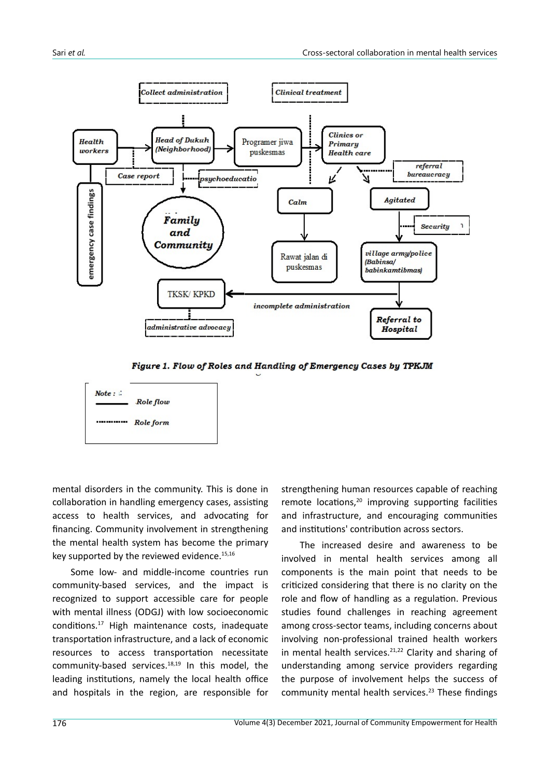

Figure 1. Flow of Roles and Handling of Emergency Cases by TPKJM



mental disorders in the community. This is done in collaboration in handling emergency cases, assisting access to health services, and advocating for financing. Community involvement in strengthening the mental health system has become the primary key supported by the reviewed evidence.<sup>15,16</sup>

Some low- and middle-income countries run community-based services, and the impact is recognized to support accessible care for people with mental illness (ODGJ) with low socioeconomic conditions.<sup>17</sup> High maintenance costs, inadequate transportation infrastructure, and a lack of economic resources to access transportation necessitate community-based services.18,19 In this model, the leading institutions, namely the local health office and hospitals in the region, are responsible for

strengthening human resources capable of reaching remote locations,<sup>20</sup> improving supporting facilities and infrastructure, and encouraging communities and institutions' contribution across sectors.

The increased desire and awareness to be involved in mental health services among all components is the main point that needs to be criticized considering that there is no clarity on the role and flow of handling as a regulation. Previous studies found challenges in reaching agreement among cross-sector teams, including concerns about involving non-professional trained health workers in mental health services.<sup>21,22</sup> Clarity and sharing of understanding among service providers regarding the purpose of involvement helps the success of community mental health services.<sup>23</sup> These findings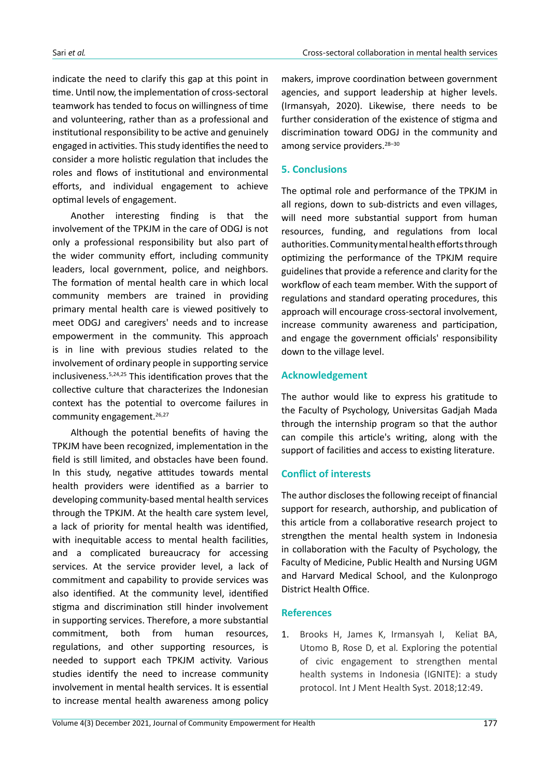indicate the need to clarify this gap at this point in time. Until now, the implementation of cross-sectoral teamwork has tended to focus on willingness of time and volunteering, rather than as a professional and institutional responsibility to be active and genuinely engaged in activities. This study identifies the need to consider a more holistic regulation that includes the roles and flows of institutional and environmental efforts, and individual engagement to achieve optimal levels of engagement.

Another interesting finding is that the involvement of the TPKJM in the care of ODGJ is not only a professional responsibility but also part of the wider community effort, including community leaders, local government, police, and neighbors. The formation of mental health care in which local community members are trained in providing primary mental health care is viewed positively to meet ODGJ and caregivers' needs and to increase empowerment in the community. This approach is in line with previous studies related to the involvement of ordinary people in supporting service inclusiveness.5,24,25 This identification proves that the collective culture that characterizes the Indonesian context has the potential to overcome failures in community engagement.<sup>26,27</sup>

Although the potential benefits of having the TPKJM have been recognized, implementation in the field is still limited, and obstacles have been found. In this study, negative attitudes towards mental health providers were identified as a barrier to developing community-based mental health services through the TPKJM. At the health care system level, a lack of priority for mental health was identified, with inequitable access to mental health facilities, and a complicated bureaucracy for accessing services. At the service provider level, a lack of commitment and capability to provide services was also identified. At the community level, identified stigma and discrimination still hinder involvement in supporting services. Therefore, a more substantial commitment, both from human resources, regulations, and other supporting resources, is needed to support each TPKJM activity. Various studies identify the need to increase community involvement in mental health services. It is essential to increase mental health awareness among policy

makers, improve coordination between government agencies, and support leadership at higher levels. (Irmansyah, 2020). Likewise, there needs to be further consideration of the existence of stigma and discrimination toward ODGJ in the community and among service providers.<sup>28-30</sup>

# **5. Conclusions**

The optimal role and performance of the TPKJM in all regions, down to sub-districts and even villages, will need more substantial support from human resources, funding, and regulations from local authorities. Community mental health efforts through optimizing the performance of the TPKJM require guidelines that provide a reference and clarity for the workflow of each team member. With the support of regulations and standard operating procedures, this approach will encourage cross-sectoral involvement, increase community awareness and participation, and engage the government officials' responsibility down to the village level.

## **Acknowledgement**

The author would like to express his gratitude to the Faculty of Psychology, Universitas Gadjah Mada through the internship program so that the author can compile this article's writing, along with the support of facilities and access to existing literature.

#### **Conflict of interests**

The author discloses the following receipt of financial support for research, authorship, and publication of this article from a collaborative research project to strengthen the mental health system in Indonesia in collaboration with the Faculty of Psychology, the Faculty of Medicine, Public Health and Nursing UGM and Harvard Medical School, and the Kulonprogo District Health Office.

#### **References**

1. Brooks H, James K, Irmansyah I, Keliat BA, Utomo B, Rose D, et al*.* Exploring the potential of civic engagement to strengthen mental health systems in Indonesia (IGNITE): a study protocol. Int J Ment Health Syst. 2018;12:49.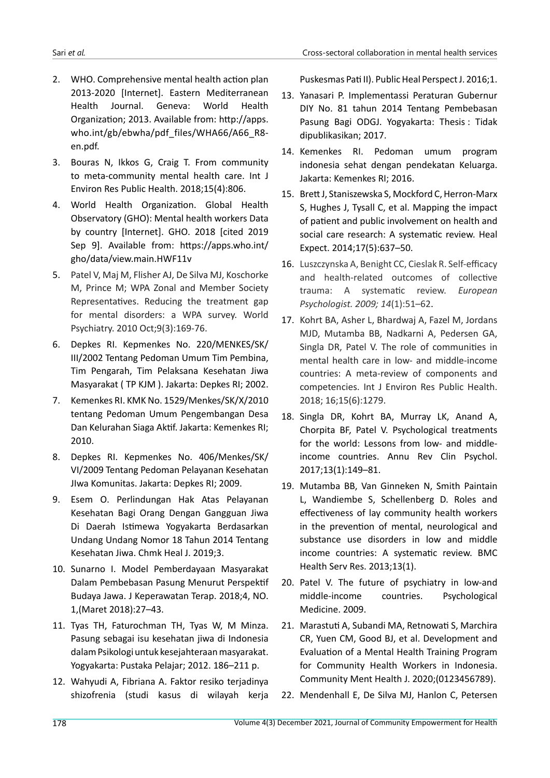- 2. WHO. Comprehensive mental health action plan 2013-2020 [Internet]. Eastern Mediterranean Health Journal. Geneva: World Health Organization; 2013. Available from: http://apps. who.int/gb/ebwha/pdf\_files/WHA66/A66\_R8 en.pdf.
- 3. Bouras N, Ikkos G, Craig T. From community to meta-community mental health care. Int J Environ Res Public Health. 2018;15(4):806.
- 4. World Health Organization. Global Health Observatory (GHO): Mental health workers Data by country [Internet]. GHO. 2018 [cited 2019 Sep 9]. Available from: https://apps.who.int/ gho/data/view.main.HWF11v
- 5. Patel V, Maj M, Flisher AJ, De Silva MJ, Koschorke M, Prince M; WPA Zonal and Member Society Representatives. Reducing the treatment gap for mental disorders: a WPA survey. World Psychiatry. 2010 Oct;9(3):169-76.
- 6. Depkes RI. Kepmenkes No. 220/MENKES/SK/ III/2002 Tentang Pedoman Umum Tim Pembina, Tim Pengarah, Tim Pelaksana Kesehatan Jiwa Masyarakat ( TP KJM ). Jakarta: Depkes RI; 2002.
- 7. Kemenkes RI. KMK No. 1529/Menkes/SK/X/2010 tentang Pedoman Umum Pengembangan Desa Dan Kelurahan Siaga Aktif. Jakarta: Kemenkes RI; 2010.
- 8. Depkes RI. Kepmenkes No. 406/Menkes/SK/ VI/2009 Tentang Pedoman Pelayanan Kesehatan JIwa Komunitas. Jakarta: Depkes RI; 2009.
- 9. Esem O. Perlindungan Hak Atas Pelayanan Kesehatan Bagi Orang Dengan Gangguan Jiwa Di Daerah Istimewa Yogyakarta Berdasarkan Undang Undang Nomor 18 Tahun 2014 Tentang Kesehatan Jiwa. Chmk Heal J. 2019;3.
- 10. Sunarno I. Model Pemberdayaan Masyarakat Dalam Pembebasan Pasung Menurut Perspektif Budaya Jawa. J Keperawatan Terap. 2018;4, NO. 1,(Maret 2018):27–43.
- 11. Tyas TH, Faturochman TH, Tyas W, M Minza. Pasung sebagai isu kesehatan jiwa di Indonesia dalam Psikologi untuk kesejahteraan masyarakat. Yogyakarta: Pustaka Pelajar; 2012. 186–211 p.
- 12. Wahyudi A, Fibriana A. Faktor resiko terjadinya shizofrenia (studi kasus di wilayah kerja

Puskesmas Pati II). Public Heal Perspect J. 2016;1.

- 13. Yanasari P. Implementassi Peraturan Gubernur DIY No. 81 tahun 2014 Tentang Pembebasan Pasung Bagi ODGJ. Yogyakarta: Thesis : Tidak dipublikasikan; 2017.
- 14. Kemenkes RI. Pedoman umum program indonesia sehat dengan pendekatan Keluarga. Jakarta: Kemenkes RI; 2016.
- 15. Brett J, Staniszewska S, Mockford C, Herron-Marx S, Hughes J, Tysall C, et al. Mapping the impact of patient and public involvement on health and social care research: A systematic review. Heal Expect. 2014;17(5):637–50.
- 16. Luszczynska A, Benight CC, Cieslak R. Self-efficacy and health-related outcomes of collective trauma: A systematic review. *European Psychologist. 2009; 14*(1):51–62.
- 17. Kohrt BA, Asher L, Bhardwaj A, Fazel M, Jordans MJD, Mutamba BB, Nadkarni A, Pedersen GA, Singla DR, Patel V. The role of communities in mental health care in low- and middle-income countries: A meta-review of components and competencies. Int J Environ Res Public Health. 2018; 16;15(6):1279.
- 18. Singla DR, Kohrt BA, Murray LK, Anand A, Chorpita BF, Patel V. Psychological treatments for the world: Lessons from low- and middleincome countries. Annu Rev Clin Psychol. 2017;13(1):149–81.
- 19. Mutamba BB, Van Ginneken N, Smith Paintain L, Wandiembe S, Schellenberg D. Roles and effectiveness of lay community health workers in the prevention of mental, neurological and substance use disorders in low and middle income countries: A systematic review. BMC Health Serv Res. 2013;13(1).
- 20. Patel V. The future of psychiatry in low-and middle-income countries. Psychological Medicine. 2009.
- 21. Marastuti A, Subandi MA, Retnowati S, Marchira CR, Yuen CM, Good BJ, et al. Development and Evaluation of a Mental Health Training Program for Community Health Workers in Indonesia. Community Ment Health J. 2020;(0123456789).
- 22. Mendenhall E, De Silva MJ, Hanlon C, Petersen